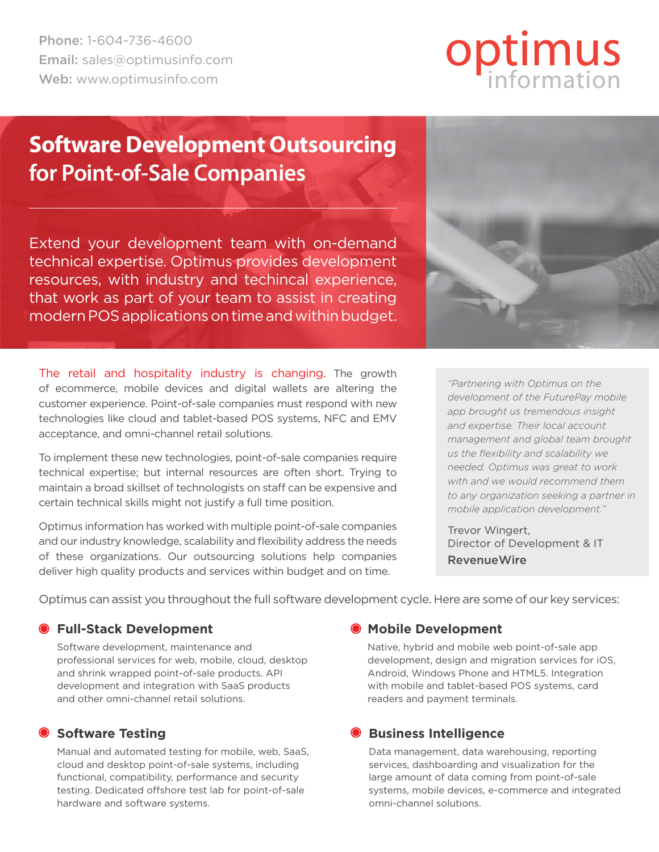Phone: 1-604-736-4600 Email: sales@optimusinfo.com Web: www.optimusinfo.com

# **optimus**

## **Software Development Outsourcing for Point-of-Sale Companies**

Extend your development team with on-demand technical expertise. Optimus provides development resources, with industry and techincal experience, that work as part of your team to assist in creating modern POS applications on time and within budget.

The retail and hospitality industry is changing. The growth of ecommerce, mobile devices and digital wallets are altering the customer experience. Point-of-sale companies must respond with new technologies like cloud and tablet-based POS systems, NFC and EMV acceptance, and omni-channel retail solutions.

To implement these new technologies, point-of-sale companies require technical expertise; but internal resources are often short. Trying to maintain a broad skillset of technologists on staff can be expensive and certain technical skills might not justify a full time position.

Optimus information has worked with multiple point-of-sale companies and our industry knowledge, scalability and flexibility address the needs of these organizations. Our outsourcing solutions help companies deliver high quality products and services within budget and on time.

*"Partnering with Optimus on the development of the FuturePay mobile app brought us tremendous insight and expertise. Their local account management and global team brought us the flexibility and scalability we needed. Optimus was great to work with and we would recommend them to any organization seeking a partner in mobile application development."*

Trevor Wingert, Director of Development & IT RevenueWire

Optimus can assist you throughout the full software development cycle. Here are some of our key services:

#### **Full-Stack Development**

Software development, maintenance and professional services for web, mobile, cloud, desktop and shrink wrapped point-of-sale products. API development and integration with SaaS products and other omni-channel retail solutions.

#### **Software Testing**

Manual and automated testing for mobile, web, SaaS, cloud and desktop point-of-sale systems, including functional, compatibility, performance and security testing. Dedicated offshore test lab for point-of-sale hardware and software systems.

#### **Mobile Development**

Native, hybrid and mobile web point-of-sale app development, design and migration services for iOS, Android, Windows Phone and HTML5. Integration with mobile and tablet-based POS systems, card readers and payment terminals.

#### **Business Intelligence**

Data management, data warehousing, reporting services, dashboarding and visualization for the large amount of data coming from point-of-sale systems, mobile devices, e-commerce and integrated omni-channel solutions.